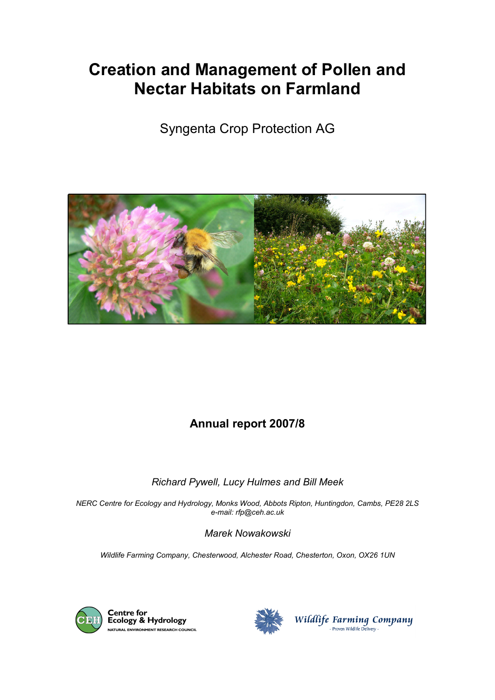# **Creation and Management of Pollen and Nectar Habitats on Farmland**

Syngenta Crop Protection AG



## **Annual report 2007/8**

#### *Richard Pywell, Lucy Hulmes and Bill Meek*

*NERC Centre for Ecology and Hydrology, Monks Wood, Abbots Ripton, Huntingdon, Cambs, PE28 2LS e-mail: rfp@ceh.ac.uk*

*Marek Nowakowski*

*Wildlife Farming Company, Chesterwood, Alchester Road, Chesterton, Oxon, OX26 1UN*



**Centre for<br>Ecology & Hydrology** NATURAL ENVIRONMENT RESEARCH COUNCIL



Wildlife Farming Company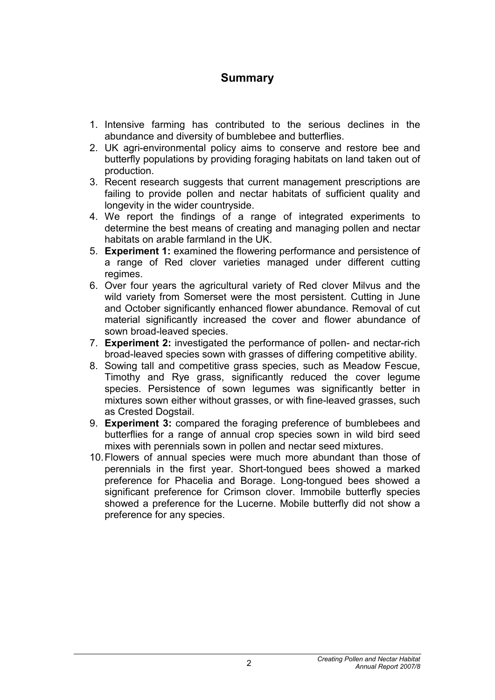### **Summary**

- 1. Intensive farming has contributed to the serious declines in the abundance and diversity of bumblebee and butterflies.
- 2. UK agri-environmental policy aims to conserve and restore bee and butterfly populations by providing foraging habitats on land taken out of production.
- 3. Recent research suggests that current management prescriptions are failing to provide pollen and nectar habitats of sufficient quality and longevity in the wider countryside.
- 4. We report the findings of a range of integrated experiments to determine the best means of creating and managing pollen and nectar habitats on arable farmland in the UK.
- 5. **Experiment 1:** examined the flowering performance and persistence of a range of Red clover varieties managed under different cutting regimes.
- 6. Over four years the agricultural variety of Red clover Milvus and the wild variety from Somerset were the most persistent. Cutting in June and October significantly enhanced flower abundance. Removal of cut material significantly increased the cover and flower abundance of sown broad-leaved species.
- 7. **Experiment 2:** investigated the performance of pollen- and nectar-rich broad-leaved species sown with grasses of differing competitive ability.
- 8. Sowing tall and competitive grass species, such as Meadow Fescue, Timothy and Rye grass, significantly reduced the cover legume species. Persistence of sown legumes was significantly better in mixtures sown either without grasses, or with fine-leaved grasses, such as Crested Dogstail.
- 9. **Experiment 3:** compared the foraging preference of bumblebees and butterflies for a range of annual crop species sown in wild bird seed mixes with perennials sown in pollen and nectar seed mixtures.
- 10.Flowers of annual species were much more abundant than those of perennials in the first year. Short-tongued bees showed a marked preference for Phacelia and Borage. Long-tongued bees showed a significant preference for Crimson clover. Immobile butterfly species showed a preference for the Lucerne. Mobile butterfly did not show a preference for any species.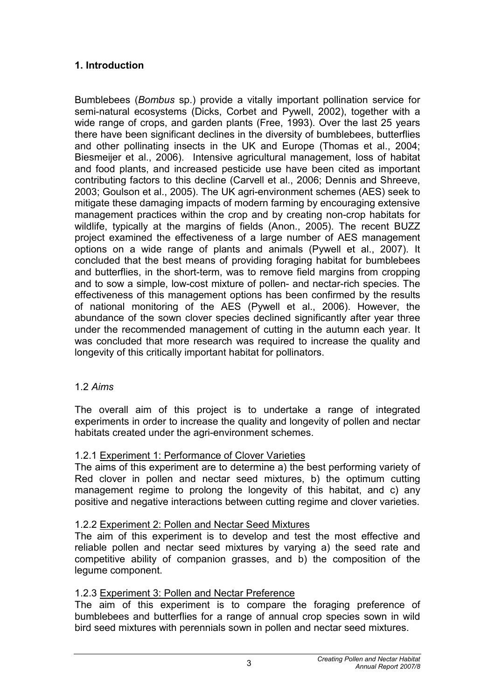#### **1. Introduction**

Bumblebees (*Bombus* sp.) provide a vitally important pollination service for semi-natural ecosystems (Dicks, Corbet and Pywell, 2002), together with a wide range of crops, and garden plants (Free, 1993). Over the last 25 years there have been significant declines in the diversity of bumblebees, butterflies and other pollinating insects in the UK and Europe (Thomas et al., 2004; Biesmeijer et al., 2006). Intensive agricultural management, loss of habitat and food plants, and increased pesticide use have been cited as important contributing factors to this decline (Carvell et al., 2006; Dennis and Shreeve, 2003; Goulson et al., 2005). The UK agri-environment schemes (AES) seek to mitigate these damaging impacts of modern farming by encouraging extensive management practices within the crop and by creating non-crop habitats for wildlife, typically at the margins of fields (Anon., 2005). The recent BUZZ project examined the effectiveness of a large number of AES management options on a wide range of plants and animals (Pywell et al., 2007). It concluded that the best means of providing foraging habitat for bumblebees and butterflies, in the short-term, was to remove field margins from cropping and to sow a simple, low-cost mixture of pollen- and nectar-rich species. The effectiveness of this management options has been confirmed by the results of national monitoring of the AES (Pywell et al., 2006). However, the abundance of the sown clover species declined significantly after year three under the recommended management of cutting in the autumn each year. It was concluded that more research was required to increase the quality and longevity of this critically important habitat for pollinators.

#### 1.2 *Aims*

The overall aim of this project is to undertake a range of integrated experiments in order to increase the quality and longevity of pollen and nectar habitats created under the agri-environment schemes.

#### 1.2.1 Experiment 1: Performance of Clover Varieties

The aims of this experiment are to determine a) the best performing variety of Red clover in pollen and nectar seed mixtures, b) the optimum cutting management regime to prolong the longevity of this habitat, and c) any positive and negative interactions between cutting regime and clover varieties.

#### 1.2.2 Experiment 2: Pollen and Nectar Seed Mixtures

The aim of this experiment is to develop and test the most effective and reliable pollen and nectar seed mixtures by varying a) the seed rate and competitive ability of companion grasses, and b) the composition of the legume component.

#### 1.2.3 Experiment 3: Pollen and Nectar Preference

The aim of this experiment is to compare the foraging preference of bumblebees and butterflies for a range of annual crop species sown in wild bird seed mixtures with perennials sown in pollen and nectar seed mixtures.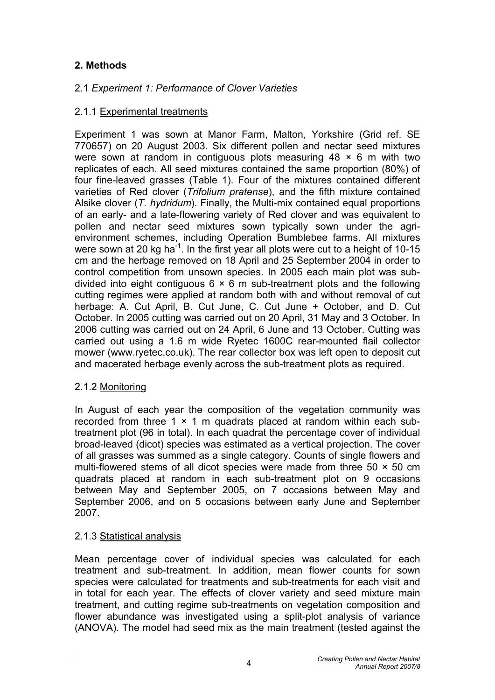### **2. Methods**

#### 2.1 *Experiment 1: Performance of Clover Varieties*

#### 2.1.1 Experimental treatments

Experiment 1 was sown at Manor Farm, Malton, Yorkshire (Grid ref. SE 770657) on 20 August 2003. Six different pollen and nectar seed mixtures were sown at random in contiguous plots measuring  $48 \times 6$  m with two replicates of each. All seed mixtures contained the same proportion (80%) of four fine-leaved grasses (Table 1). Four of the mixtures contained different varieties of Red clover (*Trifolium pratense*), and the fifth mixture contained Alsike clover (*T. hydridum*). Finally, the Multi-mix contained equal proportions of an early- and a late-flowering variety of Red clover and was equivalent to pollen and nectar seed mixtures sown typically sown under the agrienvironment schemes, including Operation Bumblebee farms. All mixtures were sown at 20 kg ha<sup>-1</sup>. In the first year all plots were cut to a height of 10-15 cm and the herbage removed on 18 April and 25 September 2004 in order to control competition from unsown species. In 2005 each main plot was subdivided into eight contiguous  $6 \times 6$  m sub-treatment plots and the following cutting regimes were applied at random both with and without removal of cut herbage: A. Cut April, B. Cut June, C. Cut June + October, and D. Cut October. In 2005 cutting was carried out on 20 April, 31 May and 3 October. In 2006 cutting was carried out on 24 April, 6 June and 13 October. Cutting was carried out using a 1.6 m wide Ryetec 1600C rear-mounted flail collector mower (www.ryetec.co.uk). The rear collector box was left open to deposit cut and macerated herbage evenly across the sub-treatment plots as required.

#### 2.1.2 Monitoring

In August of each year the composition of the vegetation community was recorded from three 1  $\times$  1 m quadrats placed at random within each subtreatment plot (96 in total). In each quadrat the percentage cover of individual broad-leaved (dicot) species was estimated as a vertical projection. The cover of all grasses was summed as a single category. Counts of single flowers and multi-flowered stems of all dicot species were made from three  $50 \times 50$  cm quadrats placed at random in each sub-treatment plot on 9 occasions between May and September 2005, on 7 occasions between May and September 2006, and on 5 occasions between early June and September 2007.

#### 2.1.3 Statistical analysis

Mean percentage cover of individual species was calculated for each treatment and sub-treatment. In addition, mean flower counts for sown species were calculated for treatments and sub-treatments for each visit and in total for each year. The effects of clover variety and seed mixture main treatment, and cutting regime sub-treatments on vegetation composition and flower abundance was investigated using a split-plot analysis of variance (ANOVA). The model had seed mix as the main treatment (tested against the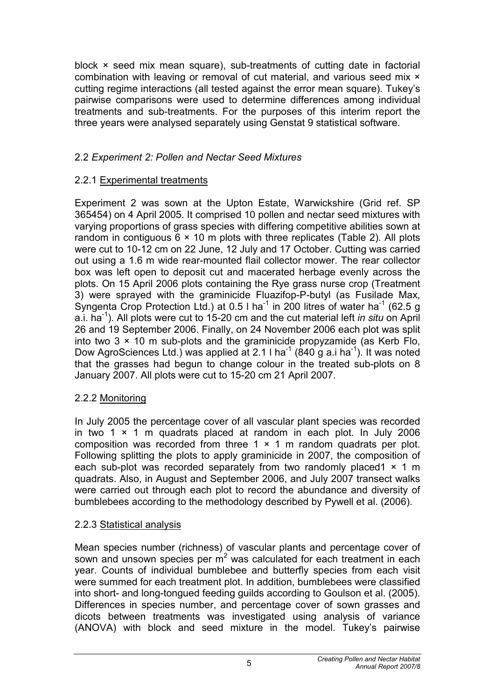block × seed mix mean square), sub-treatments of cutting date in factorial combination with leaving or removal of cut material, and various seed mix  $\times$ cutting regime interactions (all tested against the error mean square). Tukey's pairwise comparisons were used to determine differences among individual treatments and sub-treatments. For the purposes of this interim report the three years were analysed separately using Genstat 9 statistical software.

#### 2.2 *Experiment 2: Pollen and Nectar Seed Mixtures*

#### 2.2.1 Experimental treatments

Experiment 2 was sown at the Upton Estate, Warwickshire (Grid ref. SP 365454) on 4 April 2005. It comprised 10 pollen and nectar seed mixtures with varying proportions of grass species with differing competitive abilities sown at random in contiguous  $6 \times 10$  m plots with three replicates (Table 2). All plots were cut to 10-12 cm on 22 June, 12 July and 17 October. Cutting was carried out using a 1.6 m wide rear-mounted flail collector mower. The rear collector box was left open to deposit cut and macerated herbage evenly across the plots. On 15 April 2006 plots containing the Rye grass nurse crop (Treatment 3) were sprayed with the graminicide Fluazifop-P-butyl (as Fusilade Max, Syngenta Crop Protection Ltd.) at 0.5 l ha<sup>-1</sup> in 200 litres of water ha<sup>-1</sup> (62.5 g a.i. ha-1 ). All plots were cut to 15-20 cm and the cut material left *in situ* on April 26 and 19 September 2006. Finally, on 24 November 2006 each plot was split into two  $3 \times 10$  m sub-plots and the graminicide propyzamide (as Kerb Flo, Dow AgroSciences Ltd.) was applied at 2.1 I ha<sup>-1</sup> (840 g a.i ha<sup>-1</sup>). It was noted that the grasses had begun to change colour in the treated sub-plots on 8 January 2007. All plots were cut to 15-20 cm 21 April 2007.

#### 2.2.2 Monitoring

In July 2005 the percentage cover of all vascular plant species was recorded in two 1  $\times$  1 m quadrats placed at random in each plot. In July 2006 composition was recorded from three  $1 \times 1$  m random quadrats per plot. Following splitting the plots to apply graminicide in 2007, the composition of each sub-plot was recorded separately from two randomly placed  $1 \times 1$  m quadrats. Also, in August and September 2006, and July 2007 transect walks were carried out through each plot to record the abundance and diversity of bumblebees according to the methodology described by Pywell et al. (2006).

#### 2.2.3 Statistical analysis

Mean species number (richness) of vascular plants and percentage cover of sown and unsown species per  $m<sup>2</sup>$  was calculated for each treatment in each year. Counts of individual bumblebee and butterfly species from each visit were summed for each treatment plot. In addition, bumblebees were classified into short- and long-tongued feeding guilds according to Goulson et al. (2005). Differences in species number, and percentage cover of sown grasses and dicots between treatments was investigated using analysis of variance (ANOVA) with block and seed mixture in the model. Tukey's pairwise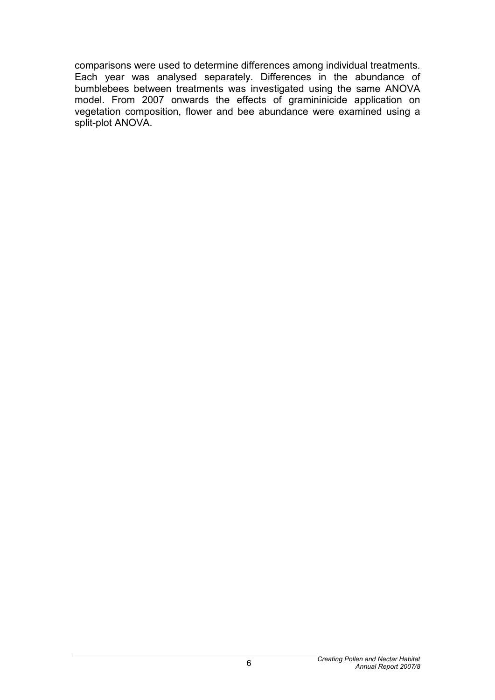comparisons were used to determine differences among individual treatments. Each year was analysed separately. Differences in the abundance of bumblebees between treatments was investigated using the same ANOVA model. From 2007 onwards the effects of gramininicide application on vegetation composition, flower and bee abundance were examined using a split-plot ANOVA.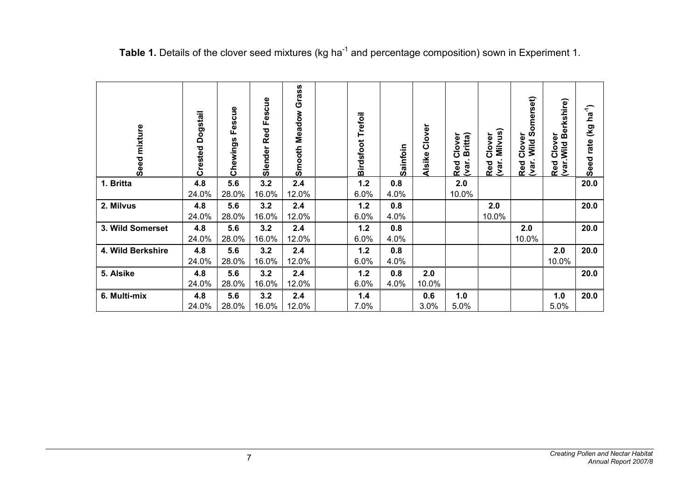| Seed mixture      | Dogstail<br>Crested | Fescue<br>Chewings | Fescue<br>Red<br>Slender | Grass<br><b>Smooth Meadow</b> | Trefoil<br><b>Birdsfoot</b> | Sainfoin | Clover<br><b>Alsike</b> | Britta)<br>Clover<br>Red<br>(var. | Milvus)<br>Clover<br>Red<br>(var. | Wild Somerset)<br>Clover<br>Red<br>(var. | Berkshire)<br>Clover<br>Red Clove<br>(var.Wild | $(Kg$ ha <sup>-1</sup> )<br>Seed rate |
|-------------------|---------------------|--------------------|--------------------------|-------------------------------|-----------------------------|----------|-------------------------|-----------------------------------|-----------------------------------|------------------------------------------|------------------------------------------------|---------------------------------------|
| 1. Britta         | 4.8                 | 5.6                | 3.2                      | 2.4                           | 1.2                         | 0.8      |                         | 2.0                               |                                   |                                          |                                                | 20.0                                  |
|                   | 24.0%               | 28.0%              | 16.0%                    | 12.0%                         | 6.0%                        | 4.0%     |                         | 10.0%                             |                                   |                                          |                                                |                                       |
| 2. Milvus         | 4.8                 | 5.6                | 3.2                      | 2.4                           | 1.2                         | 0.8      |                         |                                   | 2.0                               |                                          |                                                | 20.0                                  |
|                   | 24.0%               | 28.0%              | 16.0%                    | 12.0%                         | 6.0%                        | 4.0%     |                         |                                   | 10.0%                             |                                          |                                                |                                       |
| 3. Wild Somerset  | 4.8                 | 5.6                | 3.2                      | 2.4                           | $1.2$                       | 0.8      |                         |                                   |                                   | 2.0                                      |                                                | 20.0                                  |
|                   | 24.0%               | 28.0%              | 16.0%                    | 12.0%                         | 6.0%                        | 4.0%     |                         |                                   |                                   | 10.0%                                    |                                                |                                       |
| 4. Wild Berkshire | 4.8                 | 5.6                | 3.2                      | 2.4                           | 1.2                         | 0.8      |                         |                                   |                                   |                                          | 2.0                                            | 20.0                                  |
|                   | 24.0%               | 28.0%              | 16.0%                    | 12.0%                         | 6.0%                        | 4.0%     |                         |                                   |                                   |                                          | 10.0%                                          |                                       |
| 5. Alsike         | 4.8                 | 5.6                | 3.2                      | 2.4                           | 1.2                         | 0.8      | 2.0                     |                                   |                                   |                                          |                                                | 20.0                                  |
|                   | 24.0%               | 28.0%              | 16.0%                    | 12.0%                         | 6.0%                        | 4.0%     | 10.0%                   |                                   |                                   |                                          |                                                |                                       |
| 6. Multi-mix      | 4.8                 | 5.6                | 3.2                      | 2.4                           | 1.4                         |          | 0.6                     | 1.0                               |                                   |                                          | 1.0                                            | 20.0                                  |
|                   | 24.0%               | 28.0%              | 16.0%                    | 12.0%                         | 7.0%                        |          | 3.0%                    | 5.0%                              |                                   |                                          | 5.0%                                           |                                       |

Table 1. Details of the clover seed mixtures (kg ha<sup>-1</sup> and percentage composition) sown in Experiment 1.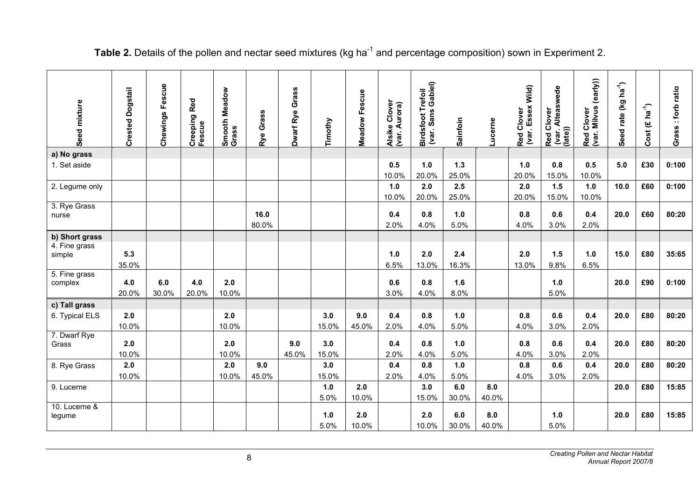| Seed mixture             | <b>Crested Dogstail</b> | Fescue<br>Chewings | Red<br>Creeping<br>Fescue | <b>Meadow</b><br>Smooth<br>Grass | Grass<br>Rye | Grass<br>Dwarf Rye | Timothy      | Meadow Fescue | Alsike Clover<br>(var. Aurora) | Birdsfoot Trefoil<br>(var. Sans Gabiel) | Sainfoin     | ucerne.      | (var. Essex Wild)<br>Red Clover | (var. Alteaswede<br>(late))<br>Red Clover | Red Clover<br>(var. Milvus (early)) | $ha^{-1}$<br>rate (kg<br>Seed | Cost $(\text{\textsterling} \text{ ha}^4)$ | Grass : forb ratio |
|--------------------------|-------------------------|--------------------|---------------------------|----------------------------------|--------------|--------------------|--------------|---------------|--------------------------------|-----------------------------------------|--------------|--------------|---------------------------------|-------------------------------------------|-------------------------------------|-------------------------------|--------------------------------------------|--------------------|
| a) No grass              |                         |                    |                           |                                  |              |                    |              |               |                                |                                         |              |              |                                 |                                           |                                     |                               |                                            |                    |
| 1. Set aside             |                         |                    |                           |                                  |              |                    |              |               | 0.5                            | 1.0                                     | $1.3$        |              | 1.0                             | 0.8                                       | 0.5                                 | 5.0                           | £30                                        | 0:100              |
|                          |                         |                    |                           |                                  |              |                    |              |               | 10.0%                          | 20.0%                                   | 25.0%        |              | 20.0%                           | 15.0%                                     | 10.0%                               |                               |                                            |                    |
| 2. Legume only           |                         |                    |                           |                                  |              |                    |              |               | 1.0                            | 2.0                                     | 2.5          |              | 2.0                             | $1.5$                                     | 1.0                                 | 10.0                          | £60                                        | 0:100              |
|                          |                         |                    |                           |                                  |              |                    |              |               | 10.0%                          | 20.0%                                   | 25.0%        |              | 20.0%                           | 15.0%                                     | 10.0%                               |                               |                                            |                    |
| 3. Rye Grass<br>nurse    |                         |                    |                           |                                  | 16.0         |                    |              |               | 0.4                            | 0.8                                     | 1.0          |              | 0.8                             | 0.6                                       | 0.4                                 | 20.0                          | £60                                        | 80:20              |
|                          |                         |                    |                           |                                  | 80.0%        |                    |              |               | 2.0%                           | 4.0%                                    | 5.0%         |              | 4.0%                            | 3.0%                                      | 2.0%                                |                               |                                            |                    |
| b) Short grass           |                         |                    |                           |                                  |              |                    |              |               |                                |                                         |              |              |                                 |                                           |                                     |                               |                                            |                    |
| 4. Fine grass<br>simple  | 5.3<br>35.0%            |                    |                           |                                  |              |                    |              |               | 1.0<br>6.5%                    | 2.0<br>13.0%                            | 2.4<br>16.3% |              | 2.0<br>13.0%                    | 1.5<br>9.8%                               | 1.0<br>6.5%                         | 15.0                          | £80                                        | 35:65              |
| 5. Fine grass<br>complex | 4.0<br>20.0%            | 6.0<br>30.0%       | 4.0<br>20.0%              | 2.0<br>10.0%                     |              |                    |              |               | 0.6<br>3.0%                    | 0.8<br>4.0%                             | 1.6<br>8.0%  |              |                                 | 1.0<br>5.0%                               |                                     | 20.0                          | £90                                        | 0:100              |
| c) Tall grass            |                         |                    |                           |                                  |              |                    |              |               |                                |                                         |              |              |                                 |                                           |                                     |                               |                                            |                    |
| 6. Typical ELS           | 2.0                     |                    |                           | 2.0                              |              |                    | 3.0          | 9.0           | 0.4                            | 0.8                                     | 1.0          |              | 0.8                             | 0.6                                       | 0.4                                 | 20.0                          | £80                                        | 80:20              |
|                          | 10.0%                   |                    |                           | 10.0%                            |              |                    | 15.0%        | 45.0%         | 2.0%                           | 4.0%                                    | 5.0%         |              | 4.0%                            | 3.0%                                      | 2.0%                                |                               |                                            |                    |
| 7. Dwarf Rye<br>Grass    | 2.0<br>10.0%            |                    |                           | 2.0<br>10.0%                     |              | 9.0<br>45.0%       | 3.0<br>15.0% |               | 0.4<br>2.0%                    | 0.8<br>4.0%                             | 1.0<br>5.0%  |              | 0.8<br>4.0%                     | 0.6<br>3.0%                               | 0.4<br>2.0%                         | 20.0                          | £80                                        | 80:20              |
| 8. Rye Grass             | 2.0                     |                    |                           | 2.0                              | 9.0          |                    | 3.0          |               | 0.4                            | 0.8                                     | 1.0          |              | 0.8                             | 0.6                                       | 0.4                                 | 20.0                          | £80                                        | 80:20              |
|                          | 10.0%                   |                    |                           | 10.0%                            | 45.0%        |                    | 15.0%        |               | 2.0%                           | 4.0%                                    | 5.0%         |              | 4.0%                            | 3.0%                                      | 2.0%                                |                               |                                            |                    |
| 9. Lucerne               |                         |                    |                           |                                  |              |                    | 1.0          | 2.0           |                                | 3.0                                     | 6.0          | 8.0          |                                 |                                           |                                     | 20.0                          | £80                                        | 15:85              |
|                          |                         |                    |                           |                                  |              |                    | 5.0%         | 10.0%         |                                | 15.0%                                   | 30.0%        | 40.0%        |                                 |                                           |                                     |                               |                                            |                    |
| 10. Lucerne &<br>legume  |                         |                    |                           |                                  |              |                    | 1.0<br>5.0%  | 2.0<br>10.0%  |                                | 2.0<br>10.0%                            | 6.0<br>30.0% | 8.0<br>40.0% |                                 | 1.0<br>5.0%                               |                                     | 20.0                          | £80                                        | 15:85              |

## Table 2. Details of the pollen and nectar seed mixtures (kg ha<sup>-1</sup> and percentage composition) sown in Experiment 2.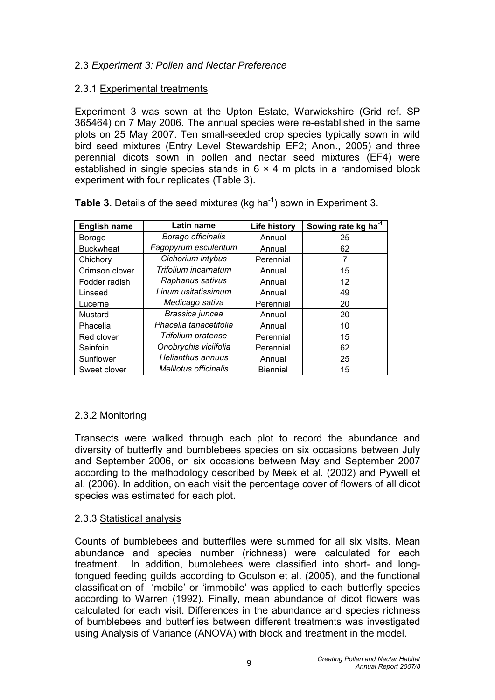#### 2.3 *Experiment 3: Pollen and Nectar Preference*

#### 2.3.1 Experimental treatments

Experiment 3 was sown at the Upton Estate, Warwickshire (Grid ref. SP 365464) on 7 May 2006. The annual species were re-established in the same plots on 25 May 2007. Ten small-seeded crop species typically sown in wild bird seed mixtures (Entry Level Stewardship EF2; Anon., 2005) and three perennial dicots sown in pollen and nectar seed mixtures (EF4) were established in single species stands in  $6 \times 4$  m plots in a randomised block experiment with four replicates (Table 3).

| <b>English name</b> | Latin name                   | <b>Life history</b> | Sowing rate kg ha <sup>-1</sup> |
|---------------------|------------------------------|---------------------|---------------------------------|
| <b>Borage</b>       | Borago officinalis           | Annual              | 25                              |
| <b>Buckwheat</b>    | Fagopyrum esculentum         | Annual              | 62                              |
| Chichory            | Cichorium intybus            | Perennial           | 7                               |
| Crimson clover      | Trifolium incarnatum         | Annual              | 15                              |
| Fodder radish       | Raphanus sativus             | Annual              | 12                              |
| Linseed             | Linum usitatissimum          | Annual              | 49                              |
| Lucerne             | Medicago sativa              | Perennial           | 20                              |
| Mustard             | Brassica juncea              | Annual              | 20                              |
| Phacelia            | Phacelia tanacetifolia       | Annual              | 10                              |
| Red clover          | Trifolium pratense           | Perennial           | 15                              |
| Sainfoin            | Onobrychis viciifolia        | Perennial           | 62                              |
| Sunflower           | <b>Helianthus annuus</b>     | Annual              | 25                              |
| Sweet clover        | <b>Melilotus officinalis</b> | <b>Biennial</b>     | 15                              |

**Table 3.** Details of the seed mixtures (kg ha<sup>-1</sup>) sown in Experiment 3.

## 2.3.2 Monitoring

Transects were walked through each plot to record the abundance and diversity of butterfly and bumblebees species on six occasions between July and September 2006, on six occasions between May and September 2007 according to the methodology described by Meek et al. (2002) and Pywell et al. (2006). In addition, on each visit the percentage cover of flowers of all dicot species was estimated for each plot.

#### 2.3.3 Statistical analysis

Counts of bumblebees and butterflies were summed for all six visits. Mean abundance and species number (richness) were calculated for each treatment. In addition, bumblebees were classified into short- and longtongued feeding guilds according to Goulson et al. (2005), and the functional classification of 'mobile' or 'immobile' was applied to each butterfly species according to Warren (1992). Finally, mean abundance of dicot flowers was calculated for each visit. Differences in the abundance and species richness of bumblebees and butterflies between different treatments was investigated using Analysis of Variance (ANOVA) with block and treatment in the model.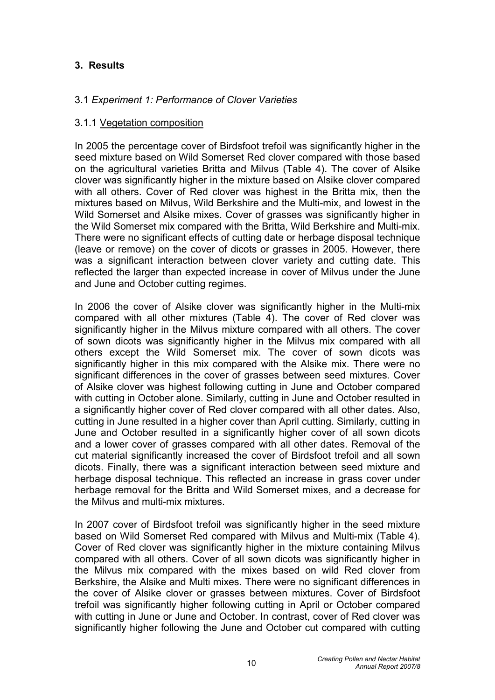#### **3. Results**

#### 3.1 *Experiment 1: Performance of Clover Varieties*

#### 3.1.1 Vegetation composition

In 2005 the percentage cover of Birdsfoot trefoil was significantly higher in the seed mixture based on Wild Somerset Red clover compared with those based on the agricultural varieties Britta and Milvus (Table 4). The cover of Alsike clover was significantly higher in the mixture based on Alsike clover compared with all others. Cover of Red clover was highest in the Britta mix, then the mixtures based on Milvus, Wild Berkshire and the Multi-mix, and lowest in the Wild Somerset and Alsike mixes. Cover of grasses was significantly higher in the Wild Somerset mix compared with the Britta, Wild Berkshire and Multi-mix. There were no significant effects of cutting date or herbage disposal technique (leave or remove) on the cover of dicots or grasses in 2005. However, there was a significant interaction between clover variety and cutting date. This reflected the larger than expected increase in cover of Milvus under the June and June and October cutting regimes.

In 2006 the cover of Alsike clover was significantly higher in the Multi-mix compared with all other mixtures (Table 4). The cover of Red clover was significantly higher in the Milvus mixture compared with all others. The cover of sown dicots was significantly higher in the Milvus mix compared with all others except the Wild Somerset mix. The cover of sown dicots was significantly higher in this mix compared with the Alsike mix. There were no significant differences in the cover of grasses between seed mixtures. Cover of Alsike clover was highest following cutting in June and October compared with cutting in October alone. Similarly, cutting in June and October resulted in a significantly higher cover of Red clover compared with all other dates. Also, cutting in June resulted in a higher cover than April cutting. Similarly, cutting in June and October resulted in a significantly higher cover of all sown dicots and a lower cover of grasses compared with all other dates. Removal of the cut material significantly increased the cover of Birdsfoot trefoil and all sown dicots. Finally, there was a significant interaction between seed mixture and herbage disposal technique. This reflected an increase in grass cover under herbage removal for the Britta and Wild Somerset mixes, and a decrease for the Milvus and multi-mix mixtures.

In 2007 cover of Birdsfoot trefoil was significantly higher in the seed mixture based on Wild Somerset Red compared with Milvus and Multi-mix (Table 4). Cover of Red clover was significantly higher in the mixture containing Milvus compared with all others. Cover of all sown dicots was significantly higher in the Milvus mix compared with the mixes based on wild Red clover from Berkshire, the Alsike and Multi mixes. There were no significant differences in the cover of Alsike clover or grasses between mixtures. Cover of Birdsfoot trefoil was significantly higher following cutting in April or October compared with cutting in June or June and October. In contrast, cover of Red clover was significantly higher following the June and October cut compared with cutting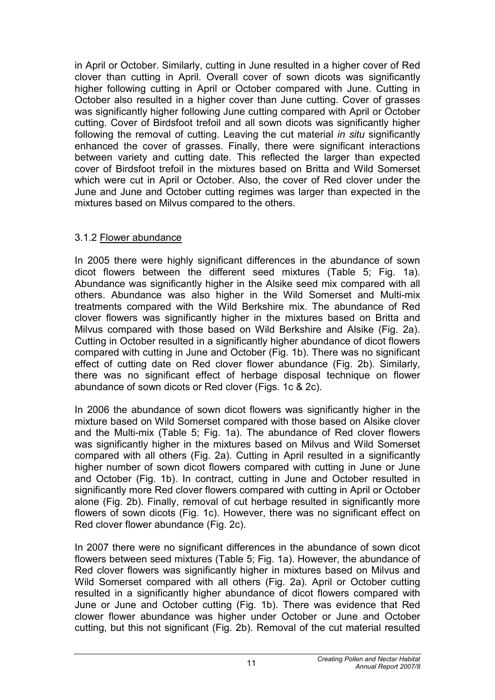in April or October. Similarly, cutting in June resulted in a higher cover of Red clover than cutting in April. Overall cover of sown dicots was significantly higher following cutting in April or October compared with June. Cutting in October also resulted in a higher cover than June cutting. Cover of grasses was significantly higher following June cutting compared with April or October cutting. Cover of Birdsfoot trefoil and all sown dicots was significantly higher following the removal of cutting. Leaving the cut material *in situ* significantly enhanced the cover of grasses. Finally, there were significant interactions between variety and cutting date. This reflected the larger than expected cover of Birdsfoot trefoil in the mixtures based on Britta and Wild Somerset which were cut in April or October. Also, the cover of Red clover under the June and June and October cutting regimes was larger than expected in the mixtures based on Milvus compared to the others.

#### 3.1.2 Flower abundance

In 2005 there were highly significant differences in the abundance of sown dicot flowers between the different seed mixtures (Table 5; Fig. 1a). Abundance was significantly higher in the Alsike seed mix compared with all others. Abundance was also higher in the Wild Somerset and Multi-mix treatments compared with the Wild Berkshire mix. The abundance of Red clover flowers was significantly higher in the mixtures based on Britta and Milvus compared with those based on Wild Berkshire and Alsike (Fig. 2a). Cutting in October resulted in a significantly higher abundance of dicot flowers compared with cutting in June and October (Fig. 1b). There was no significant effect of cutting date on Red clover flower abundance (Fig. 2b). Similarly, there was no significant effect of herbage disposal technique on flower abundance of sown dicots or Red clover (Figs. 1c & 2c).

In 2006 the abundance of sown dicot flowers was significantly higher in the mixture based on Wild Somerset compared with those based on Alsike clover and the Multi-mix (Table 5; Fig. 1a). The abundance of Red clover flowers was significantly higher in the mixtures based on Milvus and Wild Somerset compared with all others (Fig. 2a). Cutting in April resulted in a significantly higher number of sown dicot flowers compared with cutting in June or June and October (Fig. 1b). In contract, cutting in June and October resulted in significantly more Red clover flowers compared with cutting in April or October alone (Fig. 2b). Finally, removal of cut herbage resulted in significantly more flowers of sown dicots (Fig. 1c). However, there was no significant effect on Red clover flower abundance (Fig. 2c).

In 2007 there were no significant differences in the abundance of sown dicot flowers between seed mixtures (Table 5; Fig. 1a). However, the abundance of Red clover flowers was significantly higher in mixtures based on Milvus and Wild Somerset compared with all others (Fig. 2a). April or October cutting resulted in a significantly higher abundance of dicot flowers compared with June or June and October cutting (Fig. 1b). There was evidence that Red clower flower abundance was higher under October or June and October cutting, but this not significant (Fig. 2b). Removal of the cut material resulted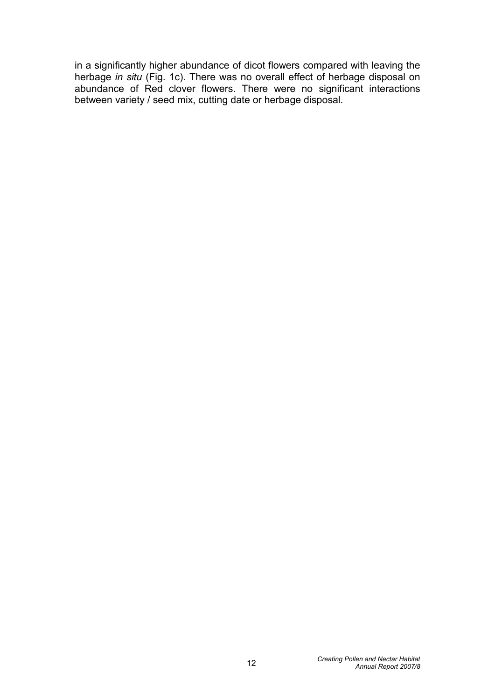in a significantly higher abundance of dicot flowers compared with leaving the herbage *in situ* (Fig. 1c). There was no overall effect of herbage disposal on abundance of Red clover flowers. There were no significant interactions between variety / seed mix, cutting date or herbage disposal.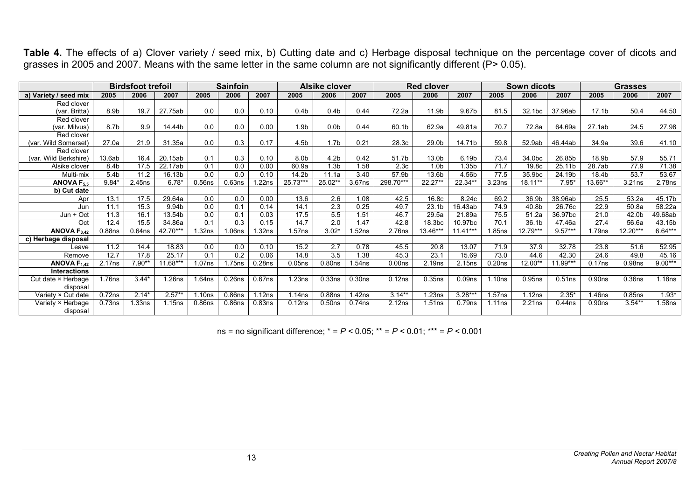|                              |                    | <b>Birdsfoot trefoil</b> |            |                    | <b>Sainfoin</b>    |           |                    | <b>Alsike clover</b> |                    |                    | <b>Red clover</b>  |                    |                    | Sown dicots |           |                   | <b>Grasses</b> |           |
|------------------------------|--------------------|--------------------------|------------|--------------------|--------------------|-----------|--------------------|----------------------|--------------------|--------------------|--------------------|--------------------|--------------------|-------------|-----------|-------------------|----------------|-----------|
| a) Variety / seed mix        | 2005               | 2006                     | 2007       | 2005               | 2006               | 2007      | 2005               | 2006                 | 2007               | 2005               | 2006               | 2007               | 2005               | 2006        | 2007      | 2005              | 2006           | 2007      |
| Red clover                   |                    |                          |            |                    |                    |           |                    |                      |                    |                    |                    |                    |                    |             |           |                   |                |           |
| (var. Britta)                | 8.9b               | 19.7                     | 27.75ab    | 0.0                | 0.0                | 0.10      | 0.4 <sub>b</sub>   | 0.4 <sub>b</sub>     | 0.44               | 72.2a              | 11.9b              | 9.67b              | 81.5               | 32.1bc      | 37.96ab   | 17.1 <sub>b</sub> | 50.4           | 44.50     |
| Red clover                   |                    |                          |            |                    |                    |           |                    |                      |                    |                    |                    |                    |                    |             |           |                   |                |           |
| (var. Milvus)                | 8.7b               | 9.9                      | 14.44b     | 0.0                | 0.0                | 0.00      | 1.9 <sub>b</sub>   | 0.0 <sub>b</sub>     | 0.44               | 60.1b              | 62.9a              | 49.81a             | 70.7               | 72.8a       | 64.69a    | 27.1ab            | 24.5           | 27.98     |
| Red clover                   |                    |                          |            |                    |                    |           |                    |                      |                    |                    |                    |                    |                    |             |           |                   |                |           |
| (var. Wild Somerset)         | 27.0a              | 21.9                     | 31.35a     | 0.0                | 0.3                | 0.17      | 4.5b               | 1.7 <sub>b</sub>     | 0.21               | 28.3c              | 29.0b              | 14.71b             | 59.8               | 52.9ab      | 46.44ab   | 34.9a             | 39.6           | 41.10     |
| Red clover                   |                    |                          |            |                    |                    |           |                    |                      |                    |                    |                    |                    |                    |             |           |                   |                |           |
| (var. Wild Berkshire)        | 13.6ab             | 16.4                     | 20.15ab    | 0.1                | 0.3                | 0.10      | 8.0 <sub>b</sub>   | 4.2 <sub>b</sub>     | 0.42               | 51.7b              | 13.0b              | 6.19b              | 73.4               | 34.0bc      | 26.85b    | 18.9b             | 57.9           | 55.71     |
| Alsike clover                | 8.4b               | 17.5                     | 22.17ab    | 0.1                | 0.0                | 0.00      | 60.9a              | 1.3 <sub>b</sub>     | 1.58               | 2.3 <sub>c</sub>   | 1.0 <sub>b</sub>   | 1.35b              | 71.7               | 19.8c       | 25.11b    | 28.7ab            | 77.9           | 71.38     |
| Multi-mix                    | 5.4 <sub>b</sub>   | 11.2                     | 16.13b     | 0.0                | 0.0                | 0.10      | 14.2b              | 11.1a                | 3.40               | 57.9b              | 13.6b              | 4.56b              | 77.5               | 35.9bc      | 24.19b    | 18.4b             | 53.7           | 53.67     |
| $\overline{ANOVA}$ $F_{5.5}$ | $9.84*$            | 2.45 <sub>ns</sub>       | $6.78*$    | 0.56ns             | 0.63ns             | .22ns     | 25.73***           | 25.02**              | 3.67ns             | 298.70***          | 22.27**            | 22.34**            | 3.23ns             | $18.11**$   | $7.95*$   | 13.66**           | 3.21ns         | 2.78ns    |
| b) Cut date                  |                    |                          |            |                    |                    |           |                    |                      |                    |                    |                    |                    |                    |             |           |                   |                |           |
| Apr                          | 13.1               | 17.5                     | 29.64a     | 0.0                | 0.0                | 0.00      | 13.6               | 2.6                  | 1.08               | 42.5               | 16.8c              | 8.24c              | 69.2               | 36.9b       | 38.96ab   | 25.5              | 53.2a          | 45.17b    |
| Jun                          | 11.1               | 15.3                     | 9.94b      | 0.0                | 0.1                | 0.14      | 14.1               | 2.3                  | 0.25               | 49.7               | 23.1b              | 16.43ab            | 74.9               | 40.8b       | 26.76c    | 22.9              | 50.8a          | 58.22a    |
| Jun + Oct                    | 11.3               | 16.1                     | 13.54b     | 0.0                | 0.1                | 0.03      | 17.5               | 5.5                  | 1.51               | 46.7               | 29.5a              | 21.89a             | 75.5               | 51.2a       | 36.97bc   | 21.0              | 42.0b          | 49.68ab   |
| Oct                          | 12.4               | 15.5                     | 34.86a     | 0.1                | 0.3                | 0.15      | 14.7               | 2.0                  | 1.47               | 42.8               | 18.3bc             | 10.97bc            | 70.1               | 36.1b       | 47.46a    | 27.4              | 56.6a          | 43.15b    |
| ANOVA $F_{3,42}$             | 0.88 <sub>ns</sub> | $0.64$ ns                | 42.70***   | 1.32ns             | 1.06ns             | .32ns     | 1.57ns             | $3.02*$              | 1.52ns             | 2.76ns             | 13.46***           | $11.41***$         | 1.85 <sub>ns</sub> | $12.79***$  | $9.57***$ | .79ns             | 12.20***       | $6.64***$ |
| c) Herbage disposal          |                    |                          |            |                    |                    |           |                    |                      |                    |                    |                    |                    |                    |             |           |                   |                |           |
| Leave                        | 11.2               | 14.4                     | 18.83      | 0.0                | 0.0                | 0.10      | 15.2               | 2.7                  | 0.78               | 45.5               | 20.8               | 13.07              | 71.9               | 37.9        | 32.78     | 23.8              | 51.6           | 52.95     |
| Remove                       | 12.7               | 17.8                     | 25.17      | 0.1                | 0.2                | 0.06      | 14.8               | 3.5                  | .38                | 45.3               | 23.1               | 15.69              | 73.0               | 44.6        | 42.30     | 24.6              | 49.8           | 45.16     |
| ANOVA $F_{1.42}$             | 2.17ns             | $7.90**$                 | $11.68***$ | 1.07ns             | 1.75 <sub>ns</sub> | 0.28ns    | 0.05 <sub>ns</sub> | 0.80ns               | 1.54 <sub>ns</sub> | 0.00 <sub>ns</sub> | 2.19 <sub>ns</sub> | 2.15 <sub>ns</sub> | 0.20ns             | 12.00**     | 11.99***  | 0.17ns            | 0.98ns         | $9.00***$ |
| <b>Interactions</b>          |                    |                          |            |                    |                    |           |                    |                      |                    |                    |                    |                    |                    |             |           |                   |                |           |
| Cut date × Herbage           | 1.76ns             | $3.44*$                  | .26ns      | 1.64ns             | 0.26 <sub>ns</sub> | $0.67$ ns | 1.23ns             | 0.33ns               | 0.30ns             | 0.12ns             | 0.35ns             | 0.09 <sub>ns</sub> | 1.10ns             | 0.95ns      | 0.51ns    | 0.90ns            | 0.36ns         | 1.18ns    |
| disposal                     |                    |                          |            |                    |                    |           |                    |                      |                    |                    |                    |                    |                    |             |           |                   |                |           |
| Variety × Cut date           | 0.72ns             | $2.14*$                  | $2.57**$   | 1.10 <sub>ns</sub> | 0.86ns             | 1.12ns    | 1.14ns             | 0.88ns               | 1.42ns             | $3.14***$          | 1.23ns             | $3.28***$          | 1.57ns             | 1.12ns      | $2.35*$   | 1.46ns            | 0.85ns         | $1.93*$   |
| Variety × Herbage            | 0.73ns             | .33ns                    | 1.15ns     | 0.86ns             | 0.86ns             | 0.83ns    | 0.12ns             | 0.50ns               | 0.74ns             | 2.12ns             | 1.51ns             | 0.79ns             | 1.11ns             | 2.21ns      | $0.44$ ns | 0.90ns            | $3.54***$      | 1.58ns    |
| disposal                     |                    |                          |            |                    |                    |           |                    |                      |                    |                    |                    |                    |                    |             |           |                   |                |           |

Table 4. The effects of a) Clover variety / seed mix, b) Cutting date and c) Herbage disposal technique on the percentage cover of dicots and grasses in 2005 and 2007. Means with the same letter in the same column are not significantly different (P> 0.05).

ns = no significant difference; \* = *P <* 0.05; \*\* = *P <* 0.01; \*\*\* = *P <* 0.001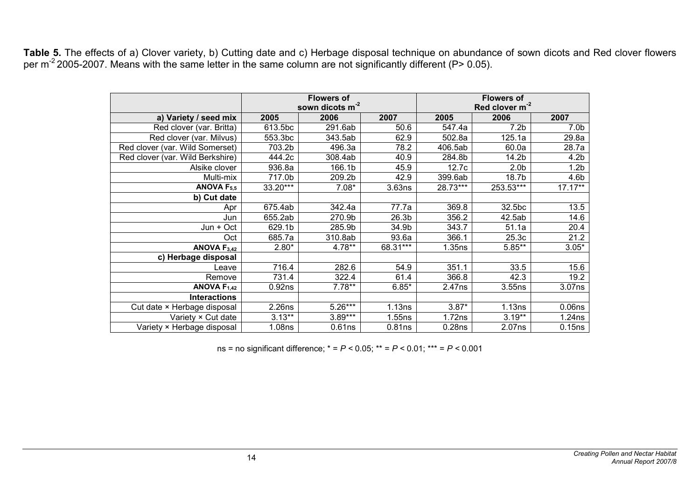**Table 5.** The effects of a) Clover variety, b) Cutting date and c) Herbage disposal technique on abundance of sown dicots and Red clover flowers per m<sup>-2</sup> 2005-2007. Means with the same letter in the same column are not significantly different (P> 0.05).

|                                  |                    | <b>Flowers of</b><br>sown dicots $m^2$ |                   |            | <b>Flowers of</b><br>Red clover m <sup>-2</sup> |                    |
|----------------------------------|--------------------|----------------------------------------|-------------------|------------|-------------------------------------------------|--------------------|
|                                  |                    |                                        |                   |            |                                                 |                    |
| a) Variety / seed mix            | 2005               | 2006                                   | 2007              | 2005       | 2006                                            | 2007               |
| Red clover (var. Britta)         | 613.5bc            | 291.6ab                                | 50.6              | 547.4a     | 7.2 <sub>b</sub>                                | 7.0 <sub>b</sub>   |
| Red clover (var. Milvus)         | 553.3bc            | 343.5ab                                | 62.9              | 502.8a     | 125.1a                                          | 29.8a              |
| Red clover (var. Wild Somerset)  | 703.2b             | 496.3a                                 | 78.2              | 406.5ab    | 60.0a                                           | 28.7a              |
| Red clover (var. Wild Berkshire) | 444.2c             | 308.4ab                                | 40.9              | 284.8b     | 14.2b                                           | 4.2 <sub>b</sub>   |
| Alsike clover                    | 936.8a             | 166.1b                                 | 45.9              | 12.7c      | 2.0 <sub>b</sub>                                | 1.2 <sub>b</sub>   |
| Multi-mix                        | 717.0b             | 209.2b                                 | 42.9              | 399.6ab    | 18.7b                                           | 4.6b               |
| ANOVA $F_{5.5}$                  | 33.20***           | $7.08*$                                | 3.63ns            | $28.73***$ | 253.53***                                       | $17.17***$         |
| b) Cut date                      |                    |                                        |                   |            |                                                 |                    |
| Apr                              | 675.4ab            | 342.4a                                 | 77.7a             | 369.8      | 32.5bc                                          | 13.5               |
| Jun                              | 655.2ab            | 270.9b                                 | 26.3 <sub>b</sub> | 356.2      | 42.5ab                                          | 14.6               |
| Jun + Oct                        | 629.1b             | 285.9b                                 | 34.9b             | 343.7      | 51.1a                                           | 20.4               |
| Oct                              | 685.7a             | 310.8ab                                | 93.6a             | 366.1      | 25.3c                                           | 21.2               |
| ANOVA $F3,42$                    | $2.80*$            | 4.78**                                 | 68.31***          | 1.35ns     | $5.85**$                                        | $3.05*$            |
| c) Herbage disposal              |                    |                                        |                   |            |                                                 |                    |
| Leave                            | 716.4              | 282.6                                  | 54.9              | 351.1      | 33.5                                            | 15.6               |
| Remove                           | 731.4              | 322.4                                  | 61.4              | 366.8      | 42.3                                            | 19.2               |
| ANOVA $F_{1,42}$                 | 0.92ns             | $7.78**$                               | $6.85*$           | 2.47ns     | 3.55ns                                          | 3.07ns             |
| <b>Interactions</b>              |                    |                                        |                   |            |                                                 |                    |
| Cut date × Herbage disposal      | 2.26ns             | $5.26***$                              | 1.13ns            | $3.87*$    | 1.13ns                                          | 0.06 <sub>ns</sub> |
| Variety × Cut date               | $3.13**$           | $3.89***$                              | 1.55ns            | 1.72ns     | $3.19**$                                        | 1.24ns             |
| Variety × Herbage disposal       | 1.08 <sub>ns</sub> | 0.61ns                                 | 0.81ns            | 0.28ns     | 2.07ns                                          | 0.15ns             |

ns = no significant difference; \* = *P <* 0.05; \*\* = *P <* 0.01; \*\*\* = *P <* 0.001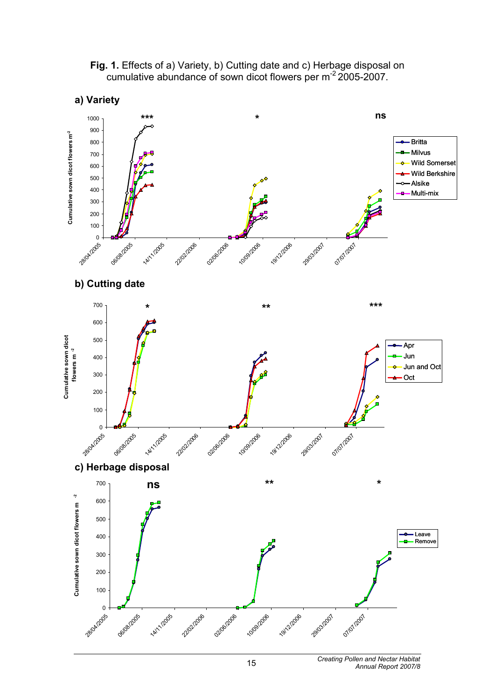

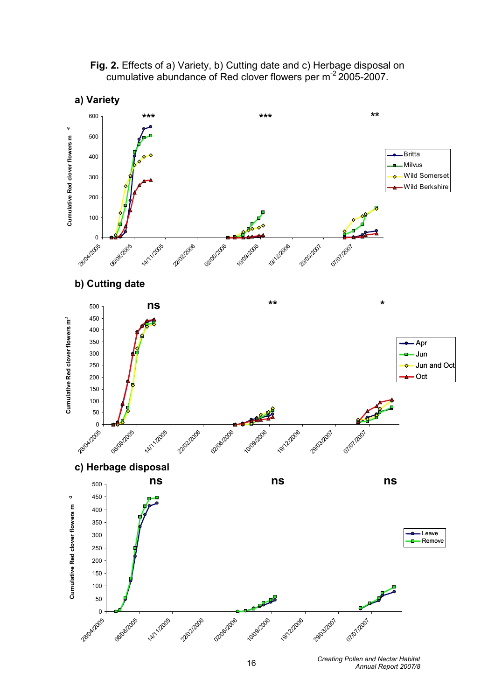

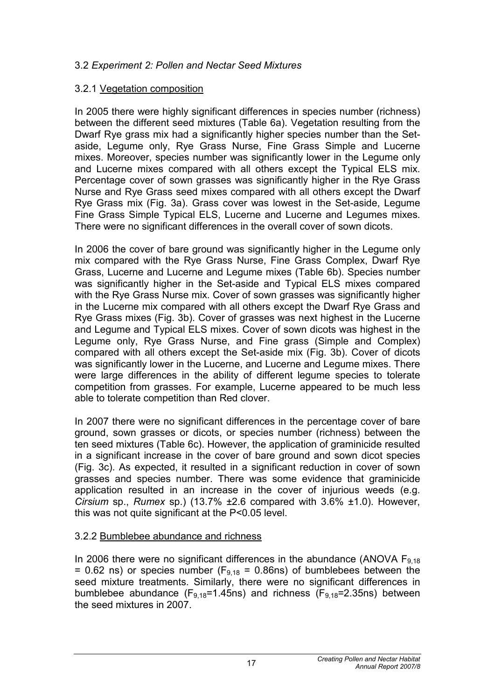#### 3.2 *Experiment 2: Pollen and Nectar Seed Mixtures*

#### 3.2.1 Vegetation composition

In 2005 there were highly significant differences in species number (richness) between the different seed mixtures (Table 6a). Vegetation resulting from the Dwarf Rye grass mix had a significantly higher species number than the Setaside, Legume only, Rye Grass Nurse, Fine Grass Simple and Lucerne mixes. Moreover, species number was significantly lower in the Legume only and Lucerne mixes compared with all others except the Typical ELS mix. Percentage cover of sown grasses was significantly higher in the Rye Grass Nurse and Rye Grass seed mixes compared with all others except the Dwarf Rye Grass mix (Fig. 3a). Grass cover was lowest in the Set-aside, Legume Fine Grass Simple Typical ELS, Lucerne and Lucerne and Legumes mixes. There were no significant differences in the overall cover of sown dicots.

In 2006 the cover of bare ground was significantly higher in the Legume only mix compared with the Rye Grass Nurse, Fine Grass Complex, Dwarf Rye Grass, Lucerne and Lucerne and Legume mixes (Table 6b). Species number was significantly higher in the Set-aside and Typical ELS mixes compared with the Rye Grass Nurse mix. Cover of sown grasses was significantly higher in the Lucerne mix compared with all others except the Dwarf Rye Grass and Rye Grass mixes (Fig. 3b). Cover of grasses was next highest in the Lucerne and Legume and Typical ELS mixes. Cover of sown dicots was highest in the Legume only, Rye Grass Nurse, and Fine grass (Simple and Complex) compared with all others except the Set-aside mix (Fig. 3b). Cover of dicots was significantly lower in the Lucerne, and Lucerne and Legume mixes. There were large differences in the ability of different legume species to tolerate competition from grasses. For example, Lucerne appeared to be much less able to tolerate competition than Red clover.

In 2007 there were no significant differences in the percentage cover of bare ground, sown grasses or dicots, or species number (richness) between the ten seed mixtures (Table 6c). However, the application of graminicide resulted in a significant increase in the cover of bare ground and sown dicot species (Fig. 3c). As expected, it resulted in a significant reduction in cover of sown grasses and species number. There was some evidence that graminicide application resulted in an increase in the cover of injurious weeds (e.g. *Cirsium* sp., *Rumex* sp.) (13.7% ±2.6 compared with 3.6% ±1.0). However, this was not quite significant at the P<0.05 level.

#### 3.2.2 Bumblebee abundance and richness

In 2006 there were no significant differences in the abundance (ANOVA  $F_{9,18}$ ) = 0.62 ns) or species number ( $F_{9,18}$  = 0.86ns) of bumblebees between the seed mixture treatments. Similarly, there were no significant differences in bumblebee abundance ( $F_{9,18}=1.45$ ns) and richness ( $F_{9,18}=2.35$ ns) between the seed mixtures in 2007.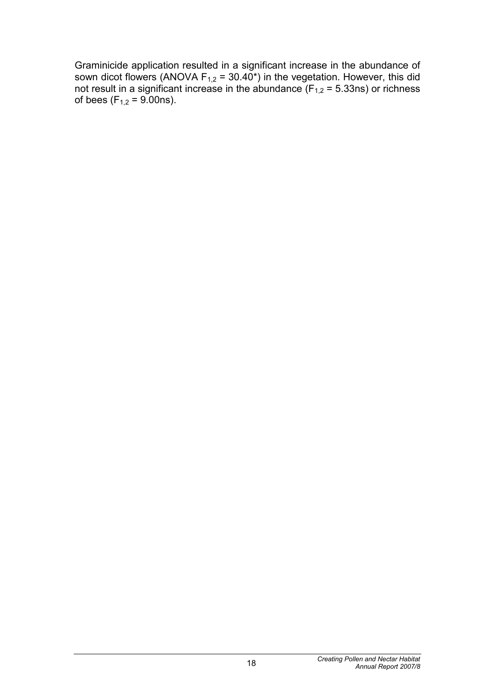Graminicide application resulted in a significant increase in the abundance of sown dicot flowers (ANOVA  $F_{1,2}$  = 30.40<sup>\*</sup>) in the vegetation. However, this did not result in a significant increase in the abundance ( $F_{1,2}$  = 5.33ns) or richness of bees (F<sub>1,2</sub> = 9.00ns).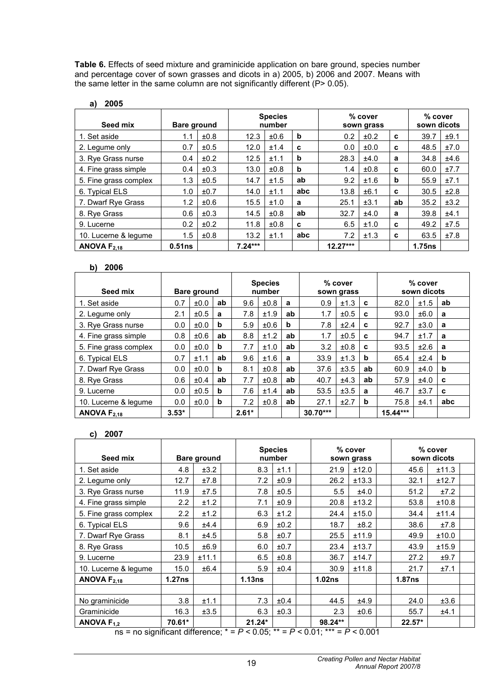**Table 6.** Effects of seed mixture and graminicide application on bare ground, species number and percentage cover of sown grasses and dicots in a) 2005, b) 2006 and 2007. Means with the same letter in the same column are not significantly different (P> 0.05).

| 2005<br>a)            |             |      |                          |      |             |            |                       |    |                          |      |  |
|-----------------------|-------------|------|--------------------------|------|-------------|------------|-----------------------|----|--------------------------|------|--|
| Seed mix              | Bare ground |      | <b>Species</b><br>number |      |             |            | % cover<br>sown grass |    | $%$ cover<br>sown dicots |      |  |
| 1. Set aside          | 1.1         | ±0.8 | 12.3                     | ±0.6 | b           | 0.2        | ±0.2                  | c  | 39.7                     | ±9.1 |  |
| 2. Legume only        | 0.7         | ±0.5 | 12.0                     | ±1.4 | C           | 0.0        | ±0.0                  | C  | 48.5                     | ±7.0 |  |
| 3. Rye Grass nurse    | 0.4         | ±0.2 | 12.5                     | ±1.1 | b           | 28.3       | ±4.0                  | a  | 34.8                     | ±4.6 |  |
| 4. Fine grass simple  | 0.4         | ±0.3 | 13.0                     | ±0.8 | $\mathbf b$ | 1.4        | ±0.8                  | c  | 60.0                     | ±7.7 |  |
| 5. Fine grass complex | 1.3         | ±0.5 | 14.7                     | ±1.5 | ab          | 9.2        | ±1.6                  | b  | 55.9                     | ±7.1 |  |
| 6. Typical ELS        | 1.0         | ±0.7 | 14.0                     | ±1.1 | abc         | 13.8       | ±6.1                  | C  | 30.5                     | ±2.8 |  |
| 7. Dwarf Rye Grass    | 1.2         | ±0.6 | 15.5                     | ±1.0 | a           | 25.1       | ±3.1                  | ab | 35.2                     | ±3.2 |  |
| 8. Rye Grass          | 0.6         | ±0.3 | 14.5                     | ±0.8 | ab          | 32.7       | ±4.0                  | a  | 39.8                     | ±4.1 |  |
| 9. Lucerne            | 0.2         | ±0.2 | 11.8                     | ±0.8 | C           | 6.5        | ±1.0                  | C  | 49.2                     | ±7.5 |  |
| 10. Lucerne & legume  | 1.5         | ±0.8 | 13.2                     | ±1.1 | abc         | 7.2        | ±1.3                  | C  | 63.5                     | ±7.8 |  |
| ANOVA $F_{2.18}$      | 0.51ns      |      | $7.24***$                |      |             | $12.27***$ |                       |    | 1.75ns                   |      |  |

#### **b) 2006**

| Seed mix              |         | <b>Bare ground</b> |    | <b>Species</b><br>number |           |    |            | % cover<br>sown grass |    | % cover<br>sown dicots |      |             |  |
|-----------------------|---------|--------------------|----|--------------------------|-----------|----|------------|-----------------------|----|------------------------|------|-------------|--|
| 1. Set aside          | 0.7     | ±0.0               | ab | 9.6                      | ±0.8      | a  | 0.9        | ±1.3                  | C  | 82.0                   | ±1.5 | ab          |  |
| 2. Legume only        | 2.1     | ±0.5               | a  | 7.8                      | ±1.9      | ab | 1.7        | ±0.5                  | C  | 93.0                   | ±6.0 | a           |  |
| 3. Rye Grass nurse    | 0.0     | ±0.0               | b  | 5.9                      | $\pm 0.6$ | b  | 7.8        | ±2.4                  | C  | 92.7                   | ±3.0 | a           |  |
| 4. Fine grass simple  | 0.8     | $\pm 0.6$          | ab | 8.8                      | ±1.2      | ab | 1.7        | ±0.5                  | C  | 94.7                   | ±1.7 | a           |  |
| 5. Fine grass complex | 0.0     | ±0.0               | b  | 7.7                      | ±1.0      | ab | 3.2        | ±0.8                  | C  | 93.5                   | ±2.6 | a           |  |
| 6. Typical ELS        | 0.7     | ±1.1               | ab | 9.6                      | ±1.6      | a  | 33.9       | ±1.3                  | b  | 65.4                   | ±2.4 | $\mathbf b$ |  |
| 7. Dwarf Rye Grass    | 0.0     | ±0.0               | b  | 8.1                      | ±0.8      | ab | 37.6       | ±3.5                  | ab | 60.9                   | ±4.0 | $\mathbf b$ |  |
| 8. Rye Grass          | 0.6     | ±0.4               | ab | 7.7                      | ±0.8      | ab | 40.7       | ±4.3                  | ab | 57.9                   | ±4.0 | C           |  |
| 9. Lucerne            | 0.0     | ±0.5               | b  | 7.6                      | ±1.4      | ab | 53.5       | ±3.5                  | a  | 46.7                   | ±3.7 | C           |  |
| 10. Lucerne & legume  | 0.0     | ±0.0               | b  | 7.2                      | ±0.8      | ab | 27.1       | ±2.7                  | b  | 75.8                   | ±4.1 | abc         |  |
| ANOVA $F_{2,18}$      | $3.53*$ |                    |    | $2.61*$                  |           |    | $30.70***$ |                       |    | $15.44***$             |      |             |  |

#### **c) 2007**

| Seed mix                                                                                                                                  | Bare ground |       | <b>Species</b><br>number |          |           |  | % cover<br>sown grass | % cover<br>sown dicots |               |       |  |
|-------------------------------------------------------------------------------------------------------------------------------------------|-------------|-------|--------------------------|----------|-----------|--|-----------------------|------------------------|---------------|-------|--|
| 1. Set aside                                                                                                                              | 4.8         | ±3.2  |                          | 8.3      | ±1.1      |  | 21.9                  | ±12.0                  | 45.6          | ±11.3 |  |
| 2. Legume only                                                                                                                            | 12.7        | ±7.8  |                          | 7.2      | ±0.9      |  | 26.2                  | ±13.3                  | 32.1          | ±12.7 |  |
| 3. Rye Grass nurse                                                                                                                        | 11.9        | ±7.5  |                          | 7.8      | ±0.5      |  | 5.5                   | ±4.0                   | 51.2          | ±7.2  |  |
| 4. Fine grass simple                                                                                                                      | 2.2         | ±1.2  |                          | 7.1      | ±0.9      |  | 20.8                  | ±13.2                  | 53.8          | ±10.8 |  |
| 5. Fine grass complex                                                                                                                     | 2.2         | ±1.2  |                          | 6.3      | ±1.2      |  | 24.4                  | ±15.0                  | 34.4          | ±11.4 |  |
| 6. Typical ELS                                                                                                                            | 9.6         | ±4.4  |                          | 6.9      | ±0.2      |  | 18.7                  | ±8.2                   | 38.6          | ±7.8  |  |
| 7. Dwarf Rye Grass                                                                                                                        | 8.1         | ±4.5  |                          | 5.8      | ±0.7      |  | 25.5                  | ±11.9                  | 49.9          | ±10.0 |  |
| 8. Rye Grass                                                                                                                              | 10.5        | ±6.9  |                          | 6.0      | ±0.7      |  | 23.4                  | ±13.7                  | 43.9          | ±15.9 |  |
| 9. Lucerne                                                                                                                                | 23.9        | ±11.1 |                          | 6.5      | $\pm 0.8$ |  | 36.7                  | ±14.7                  | 27.2          | ±9.7  |  |
| 10. Lucerne & legume                                                                                                                      | 15.0        | ±6.4  |                          | 5.9      | ±0.4      |  | 30.9                  | ±11.8                  | 21.7          | ±7.1  |  |
| ANOVA $F_{2,18}$                                                                                                                          | 1.27ns      |       |                          | 1.13ns   |           |  | 1.02ns                |                        | <b>1.87ns</b> |       |  |
|                                                                                                                                           |             |       |                          |          |           |  |                       |                        |               |       |  |
| No graminicide                                                                                                                            | 3.8         | ±1.1  |                          | 7.3      | ±0.4      |  | 44.5                  | ±4.9                   | 24.0          | ±3.6  |  |
| Graminicide                                                                                                                               | 16.3        | ±3.5  |                          | 6.3      | ±0.3      |  | 2.3                   | 0.6                    | 55.7          | ±4.1  |  |
| ANOVA $F_{1,2}$<br>$R_0 = R_0$ oignificant difference: $\dot{x} = D \times 0.05$ ; $\dot{x} = D \times 0.01$ ; $\dot{x} = D \times 0.001$ | 70.61*      |       |                          | $21.24*$ |           |  | 98.24**               |                        | $22.57*$      |       |  |

ns = no significant difference; \* = *P <* 0.05; \*\* = *P <* 0.01; \*\*\* = *P <* 0.001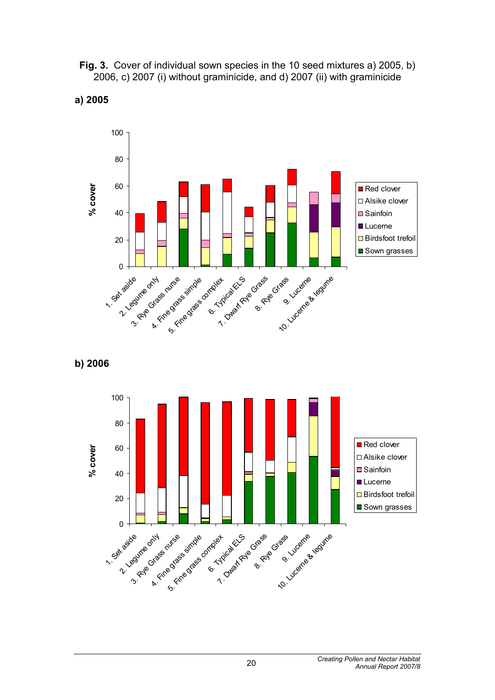**Fig. 3.** Cover of individual sown species in the 10 seed mixtures a) 2005, b) 2006, c) 2007 (i) without graminicide, and d) 2007 (ii) with graminicide



#### **a) 2005**



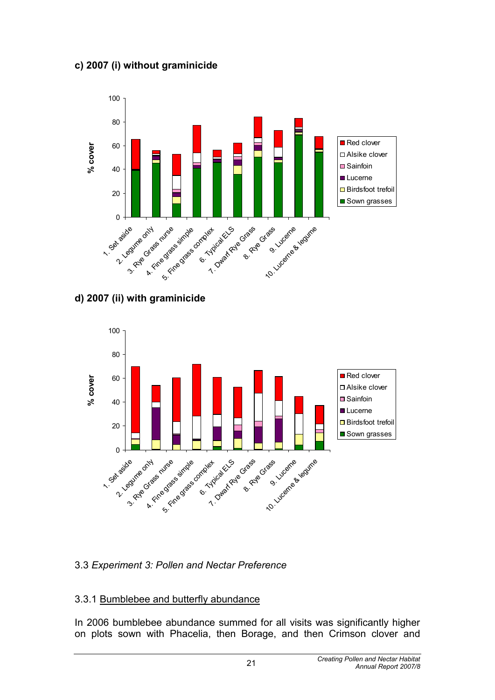#### **c) 2007 (i) without graminicide**



#### **d) 2007 (ii) with graminicide**



## 3.3 *Experiment 3: Pollen and Nectar Preference*

#### 3.3.1 Bumblebee and butterfly abundance

In 2006 bumblebee abundance summed for all visits was significantly higher on plots sown with Phacelia, then Borage, and then Crimson clover and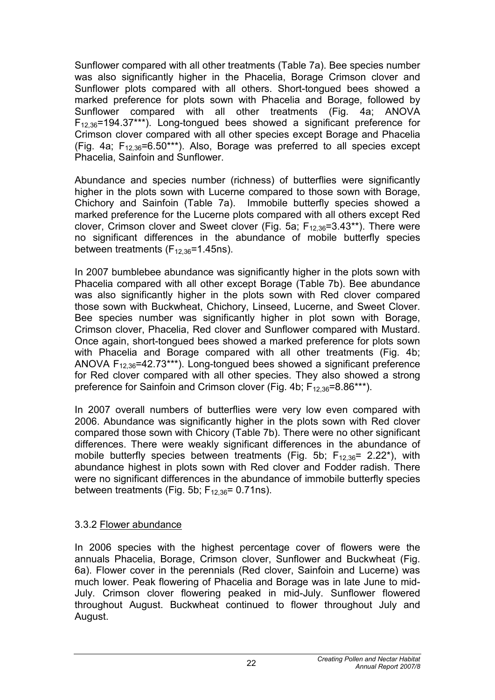Sunflower compared with all other treatments (Table 7a). Bee species number was also significantly higher in the Phacelia, Borage Crimson clover and Sunflower plots compared with all others. Short-tongued bees showed a marked preference for plots sown with Phacelia and Borage, followed by Sunflower compared with all other treatments (Fig. 4a; ANOVA  $F_{12,36}=194.37***$ ). Long-tongued bees showed a significant preference for Crimson clover compared with all other species except Borage and Phacelia (Fig. 4a;  $F_{12,36}$ =6.50\*\*\*). Also, Borage was preferred to all species except Phacelia, Sainfoin and Sunflower.

Abundance and species number (richness) of butterflies were significantly higher in the plots sown with Lucerne compared to those sown with Borage, Chichory and Sainfoin (Table 7a). Immobile butterfly species showed a marked preference for the Lucerne plots compared with all others except Red clover, Crimson clover and Sweet clover (Fig. 5a;  $F_{12,36}=3.43**$ ). There were no significant differences in the abundance of mobile butterfly species between treatments  $(F_{12,36}=1.45$ ns).

In 2007 bumblebee abundance was significantly higher in the plots sown with Phacelia compared with all other except Borage (Table 7b). Bee abundance was also significantly higher in the plots sown with Red clover compared those sown with Buckwheat, Chichory, Linseed, Lucerne, and Sweet Clover. Bee species number was significantly higher in plot sown with Borage, Crimson clover, Phacelia, Red clover and Sunflower compared with Mustard. Once again, short-tongued bees showed a marked preference for plots sown with Phacelia and Borage compared with all other treatments (Fig. 4b; ANOVA  $F_{12,36}$ =42.73\*\*\*). Long-tongued bees showed a significant preference for Red clover compared with all other species. They also showed a strong preference for Sainfoin and Crimson clover (Fig. 4b;  $F_{12,36}=8.86***$ ).

In 2007 overall numbers of butterflies were very low even compared with 2006. Abundance was significantly higher in the plots sown with Red clover compared those sown with Chicory (Table 7b). There were no other significant differences. There were weakly significant differences in the abundance of mobile butterfly species between treatments (Fig. 5b;  $F_{12,36}$ = 2.22<sup>\*</sup>), with abundance highest in plots sown with Red clover and Fodder radish. There were no significant differences in the abundance of immobile butterfly species between treatments (Fig. 5b;  $F_{12,36}$ = 0.71ns).

#### 3.3.2 Flower abundance

In 2006 species with the highest percentage cover of flowers were the annuals Phacelia, Borage, Crimson clover, Sunflower and Buckwheat (Fig. 6a). Flower cover in the perennials (Red clover, Sainfoin and Lucerne) was much lower. Peak flowering of Phacelia and Borage was in late June to mid-July. Crimson clover flowering peaked in mid-July. Sunflower flowered throughout August. Buckwheat continued to flower throughout July and August.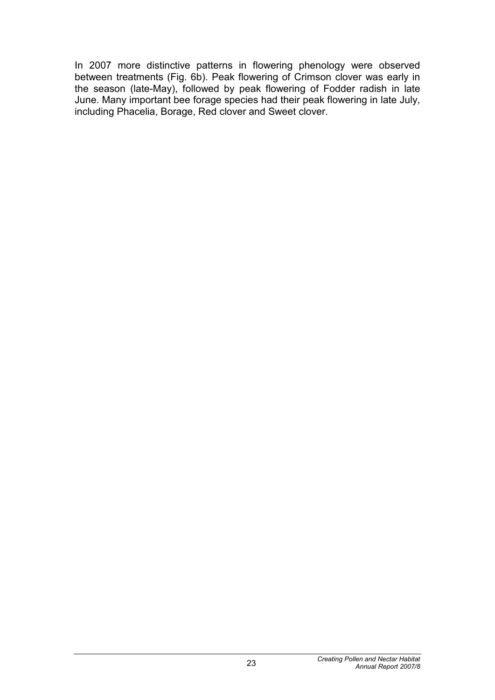In 2007 more distinctive patterns in flowering phenology were observed between treatments (Fig. 6b). Peak flowering of Crimson clover was early in the season (late-May), followed by peak flowering of Fodder radish in late June. Many important bee forage species had their peak flowering in late July, including Phacelia, Borage, Red clover and Sweet clover.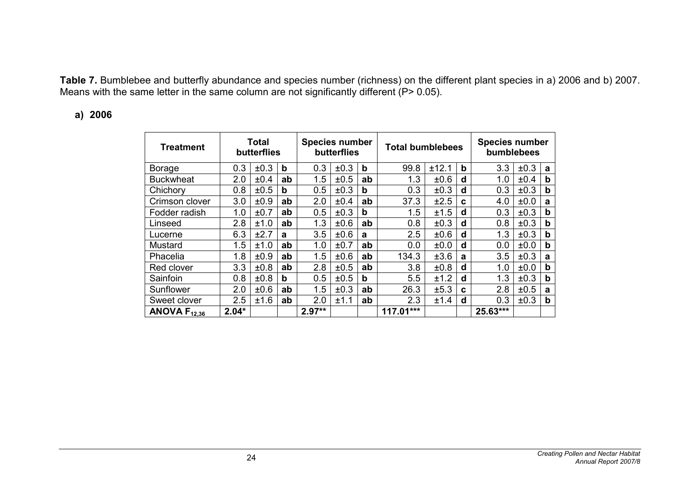**Table 7.** Bumblebee and butterfly abundance and species number (richness) on the different plant species in a) 2006 and b) 2007. Means with the same letter in the same column are not significantly different (P> 0.05).

#### **a) 2006**

| <b>Treatment</b>  |         | <b>Total</b><br>butterflies |    | <b>Species number</b><br>butterflies |      |    | <b>Total bumblebees</b> |       |   | <b>Species number</b><br>bumblebees |      |             |  |
|-------------------|---------|-----------------------------|----|--------------------------------------|------|----|-------------------------|-------|---|-------------------------------------|------|-------------|--|
| <b>Borage</b>     | 0.3     | ±0.3                        | b  | 0.3                                  | ±0.3 | b  | 99.8                    | ±12.1 | b | 3.3                                 | ±0.3 | a           |  |
| <b>Buckwheat</b>  | 2.0     | ±0.4                        | ab | 1.5                                  | ±0.5 | ab | 1.3                     | ±0.6  | d | 1.0                                 | ±0.4 | b           |  |
| Chichory          | 0.8     | ±0.5                        | b  | 0.5                                  | ±0.3 | b  | 0.3                     | ±0.3  | d | 0.3                                 | ±0.3 | b           |  |
| Crimson clover    | 3.0     | ±0.9                        | ab | 2.0                                  | ±0.4 | ab | 37.3                    | ±2.5  | C | 4.0                                 | ±0.0 | a           |  |
| Fodder radish     | 1.0     | ±0.7                        | ab | 0.5                                  | ±0.3 | b  | 1.5                     | ±1.5  | d | 0.3                                 | ±0.3 | $\mathbf b$ |  |
| Linseed           | 2.8     | ±1.0                        | ab | 1.3                                  | ±0.6 | ab | 0.8                     | ±0.3  | d | 0.8                                 | ±0.3 | b           |  |
| Lucerne           | 6.3     | ±2.7                        | a  | 3.5                                  | ±0.6 | a  | 2.5                     | ±0.6  | d | 1.3                                 | ±0.3 | $\mathbf b$ |  |
| Mustard           | 1.5     | ±1.0                        | ab | 1.0                                  | ±0.7 | ab | 0.0                     | ±0.0  | d | 0.0                                 | ±0.0 | $\mathbf b$ |  |
| Phacelia          | 1.8     | ±0.9                        | ab | 1.5                                  | ±0.6 | ab | 134.3                   | ±3.6  | a | 3.5                                 | ±0.3 | a           |  |
| Red clover        | 3.3     | ±0.8                        | ab | 2.8                                  | ±0.5 | ab | 3.8                     | ±0.8  | d | 1.0                                 | ±0.0 | b           |  |
| Sainfoin          | 0.8     | ±0.8                        | b  | 0.5                                  | ±0.5 | b  | 5.5                     | ±1.2  | d | 1.3                                 | ±0.3 | b           |  |
| Sunflower         | 2.0     | ±0.6                        | ab | 1.5                                  | ±0.3 | ab | 26.3                    | ±5.3  | C | 2.8                                 | ±0.5 | a           |  |
| Sweet clover      | 2.5     | ±1.6                        | ab | 2.0                                  | ±1.1 | ab | 2.3                     | ±1.4  | d | 0.3                                 | ±0.3 | $\mathbf b$ |  |
| ANOVA $F_{12,36}$ | $2.04*$ |                             |    | $2.97**$                             |      |    | 117.01***               |       |   | 25.63***                            |      |             |  |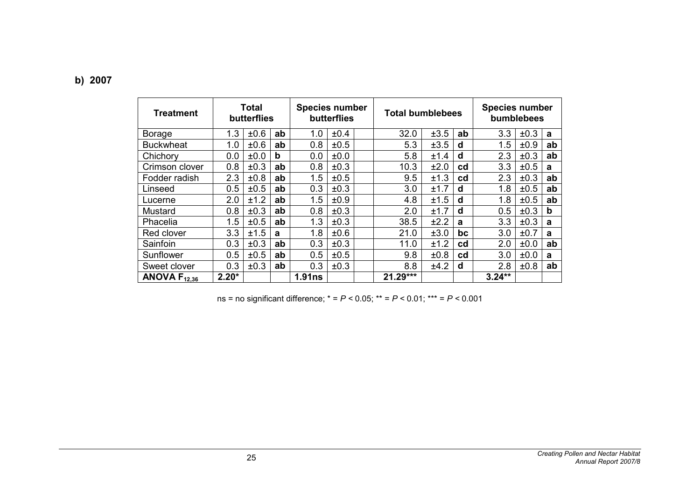| <b>Treatment</b>  |         | Total<br>butterflies |    | <b>Species number</b><br>butterflies |           |  | <b>Total bumblebees</b> |      |           | <b>Species number</b><br>bumblebees |      |    |  |
|-------------------|---------|----------------------|----|--------------------------------------|-----------|--|-------------------------|------|-----------|-------------------------------------|------|----|--|
| <b>Borage</b>     | 1.3     | $\pm 0.6$            | ab | 1.0                                  | ±0.4      |  | 32.0                    | ±3.5 | ab        | 3.3                                 | ±0.3 | a  |  |
| <b>Buckwheat</b>  | 1.0     | ±0.6                 | ab | 0.8                                  | ±0.5      |  | 5.3                     | ±3.5 | d         | 1.5                                 | ±0.9 | ab |  |
| Chichory          | 0.0     | ±0.0                 | b  | 0.0                                  | ±0.0      |  | 5.8                     | ±1.4 | d         | 2.3                                 | ±0.3 | ab |  |
| Crimson clover    | 0.8     | ±0.3                 | ab | 0.8                                  | ±0.3      |  | 10.3                    | ±2.0 | cd        | 3.3                                 | ±0.5 | a  |  |
| Fodder radish     | 2.3     | $\pm 0.8$            | ab | 1.5                                  | ±0.5      |  | 9.5                     | ±1.3 | cd        | 2.3                                 | ±0.3 | ab |  |
| Linseed           | 0.5     | ±0.5                 | ab | 0.3                                  | ±0.3      |  | 3.0                     | ±1.7 | d         | 1.8                                 | ±0.5 | ab |  |
| Lucerne           | 2.0     | ±1.2                 | ab | 1.5                                  | ±0.9      |  | 4.8                     | ±1.5 | d         | 1.8                                 | ±0.5 | ab |  |
| Mustard           | 0.8     | ±0.3                 | ab | 0.8                                  | ±0.3      |  | 2.0                     | ±1.7 | d         | 0.5                                 | ±0.3 | b  |  |
| Phacelia          | 1.5     | ±0.5                 | ab | 1.3                                  | ±0.3      |  | 38.5                    | ±2.2 | a         | 3.3                                 | ±0.3 | a  |  |
| Red clover        | 3.3     | ±1.5                 | a  | 1.8                                  | $\pm 0.6$ |  | 21.0                    | ±3.0 | bc        | 3.0                                 | ±0.7 | a  |  |
| Sainfoin          | 0.3     | ±0.3                 | ab | 0.3                                  | ±0.3      |  | 11.0                    | ±1.2 | <b>cd</b> | 2.0                                 | ±0.0 | ab |  |
| Sunflower         | 0.5     | ±0.5                 | ab | 0.5                                  | ±0.5      |  | 9.8                     | ±0.8 | cd        | 3.0                                 | ±0.0 | a  |  |
| Sweet clover      | 0.3     | ±0.3                 | ab | 0.3                                  | ±0.3      |  | 8.8                     | ±4.2 | d         | 2.8                                 | ±0.8 | ab |  |
| ANOVA $F_{12,36}$ | $2.20*$ |                      |    | 1.91ns                               |           |  | 21.29***                |      |           | $3.24**$                            |      |    |  |

ns = no significant difference; \* = *P <* 0.05; \*\* = *P <* 0.01; \*\*\* = *P <* 0.001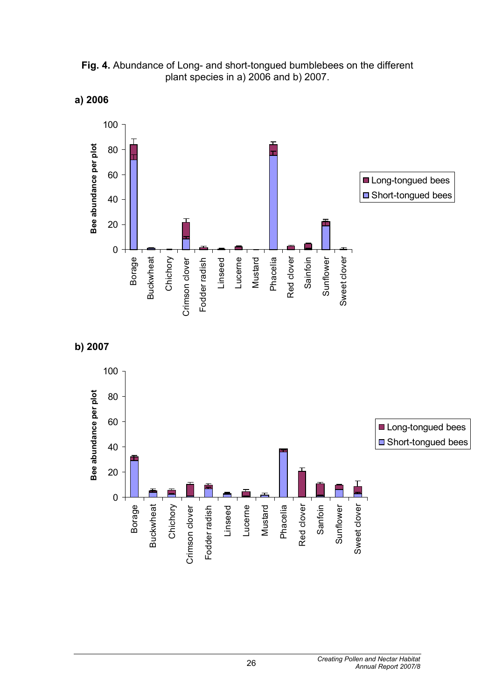

#### **Fig. 4.** Abundance of Long- and short-tongued bumblebees on the different plant species in a) 2006 and b) 2007.

**a) 2006**

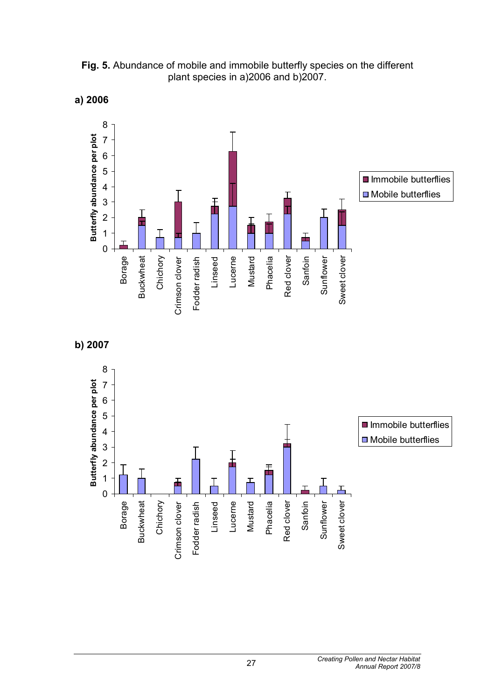

**Fig. 5.** Abundance of mobile and immobile butterfly species on the different plant species in a) 2006 and b) 2007.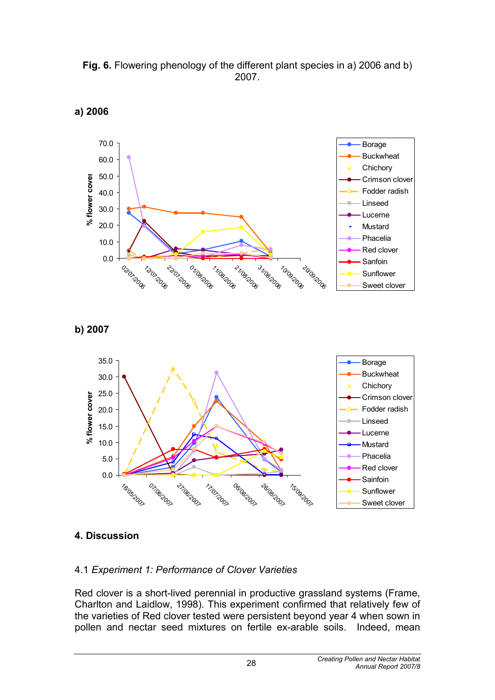





#### **b) 2007**



#### **4. Discussion**

#### 4.1 *Experiment 1: Performance of Clover Varieties*

Red clover is a short-lived perennial in productive grassland systems (Frame, Charlton and Laidlow, 1998). This experiment confirmed that relatively few of the varieties of Red clover tested were persistent beyond year 4 when sown in pollen and nectar seed mixtures on fertile ex-arable soils. Indeed, mean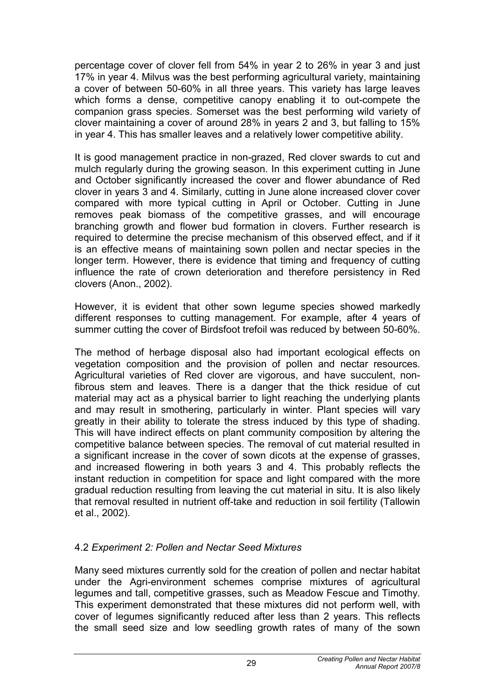percentage cover of clover fell from 54% in year 2 to 26% in year 3 and just 17% in year 4. Milvus was the best performing agricultural variety, maintaining a cover of between 50-60% in all three years. This variety has large leaves which forms a dense, competitive canopy enabling it to out-compete the companion grass species. Somerset was the best performing wild variety of clover maintaining a cover of around 28% in years 2 and 3, but falling to 15% in year 4. This has smaller leaves and a relatively lower competitive ability.

It is good management practice in non-grazed, Red clover swards to cut and mulch regularly during the growing season. In this experiment cutting in June and October significantly increased the cover and flower abundance of Red clover in years 3 and 4. Similarly, cutting in June alone increased clover cover compared with more typical cutting in April or October. Cutting in June removes peak biomass of the competitive grasses, and will encourage branching growth and flower bud formation in clovers. Further research is required to determine the precise mechanism of this observed effect, and if it is an effective means of maintaining sown pollen and nectar species in the longer term. However, there is evidence that timing and frequency of cutting influence the rate of crown deterioration and therefore persistency in Red clovers (Anon., 2002).

However, it is evident that other sown legume species showed markedly different responses to cutting management. For example, after 4 years of summer cutting the cover of Birdsfoot trefoil was reduced by between 50-60%.

The method of herbage disposal also had important ecological effects on vegetation composition and the provision of pollen and nectar resources. Agricultural varieties of Red clover are vigorous, and have succulent, nonfibrous stem and leaves. There is a danger that the thick residue of cut material may act as a physical barrier to light reaching the underlying plants and may result in smothering, particularly in winter. Plant species will vary greatly in their ability to tolerate the stress induced by this type of shading. This will have indirect effects on plant community composition by altering the competitive balance between species. The removal of cut material resulted in a significant increase in the cover of sown dicots at the expense of grasses, and increased flowering in both years 3 and 4. This probably reflects the instant reduction in competition for space and light compared with the more gradual reduction resulting from leaving the cut material in situ. It is also likely that removal resulted in nutrient off-take and reduction in soil fertility (Tallowin et al., 2002).

#### 4.2 *Experiment 2: Pollen and Nectar Seed Mixtures*

Many seed mixtures currently sold for the creation of pollen and nectar habitat under the Agri-environment schemes comprise mixtures of agricultural legumes and tall, competitive grasses, such as Meadow Fescue and Timothy. This experiment demonstrated that these mixtures did not perform well, with cover of legumes significantly reduced after less than 2 years. This reflects the small seed size and low seedling growth rates of many of the sown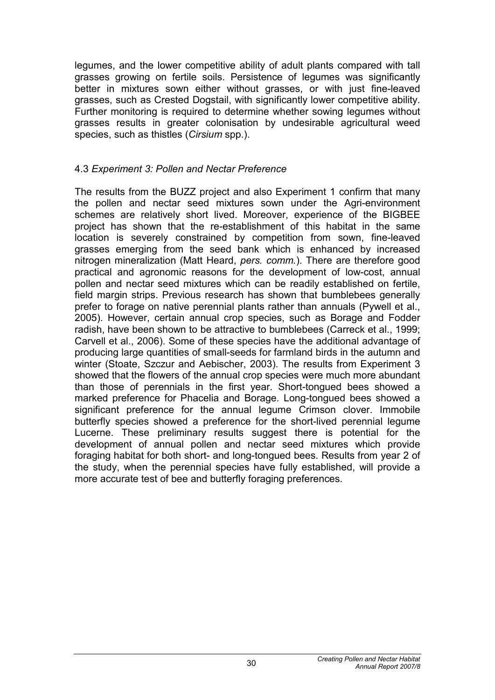legumes, and the lower competitive ability of adult plants compared with tall grasses growing on fertile soils. Persistence of legumes was significantly better in mixtures sown either without grasses, or with just fine-leaved grasses, such as Crested Dogstail, with significantly lower competitive ability. Further monitoring is required to determine whether sowing legumes without grasses results in greater colonisation by undesirable agricultural weed species, such as thistles (*Cirsium* spp.).

#### 4.3 *Experiment 3: Pollen and Nectar Preference*

The results from the BUZZ project and also Experiment 1 confirm that many the pollen and nectar seed mixtures sown under the Agri-environment schemes are relatively short lived. Moreover, experience of the BIGBEE project has shown that the re-establishment of this habitat in the same location is severely constrained by competition from sown, fine-leaved grasses emerging from the seed bank which is enhanced by increased nitrogen mineralization (Matt Heard, *pers. comm.*). There are therefore good practical and agronomic reasons for the development of low-cost, annual pollen and nectar seed mixtures which can be readily established on fertile, field margin strips. Previous research has shown that bumblebees generally prefer to forage on native perennial plants rather than annuals (Pywell et al., 2005). However, certain annual crop species, such as Borage and Fodder radish, have been shown to be attractive to bumblebees (Carreck et al., 1999; Carvell et al., 2006). Some of these species have the additional advantage of producing large quantities of small-seeds for farmland birds in the autumn and winter (Stoate, Szczur and Aebischer, 2003). The results from Experiment 3 showed that the flowers of the annual crop species were much more abundant than those of perennials in the first year. Short-tongued bees showed a marked preference for Phacelia and Borage. Long-tongued bees showed a significant preference for the annual legume Crimson clover. Immobile butterfly species showed a preference for the short-lived perennial legume Lucerne. These preliminary results suggest there is potential for the development of annual pollen and nectar seed mixtures which provide foraging habitat for both short- and long-tongued bees. Results from year 2 of the study, when the perennial species have fully established, will provide a more accurate test of bee and butterfly foraging preferences.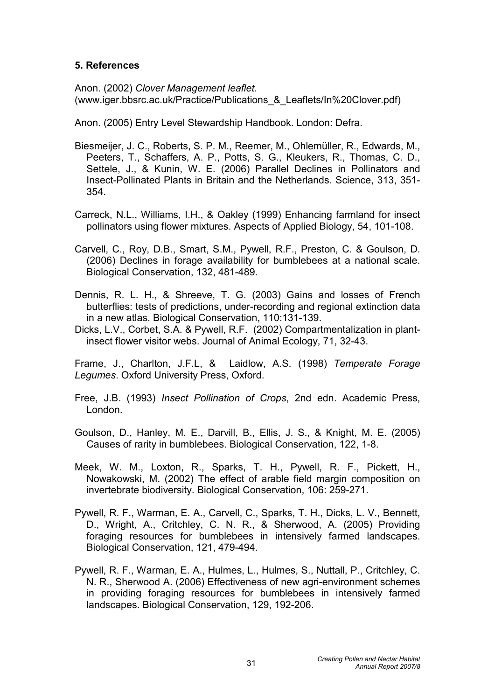#### **5. References**

Anon. (2002) *Clover Management leaflet.*  (www.iger.bbsrc.ac.uk/Practice/Publications\_&\_Leaflets/In%20Clover.pdf)

Anon. (2005) Entry Level Stewardship Handbook. London: Defra.

- Biesmeijer, J. C., Roberts, S. P. M., Reemer, M., Ohlemüller, R., Edwards, M., Peeters, T., Schaffers, A. P., Potts, S. G., Kleukers, R., Thomas, C. D., Settele, J., & Kunin, W. E. (2006) Parallel Declines in Pollinators and Insect-Pollinated Plants in Britain and the Netherlands. Science, 313, 351- 354.
- Carreck, N.L., Williams, I.H., & Oakley (1999) Enhancing farmland for insect pollinators using flower mixtures. Aspects of Applied Biology, 54, 101-108.
- Carvell, C., Roy, D.B., Smart, S.M., Pywell, R.F., Preston, C. & Goulson, D. (2006) Declines in forage availability for bumblebees at a national scale. Biological Conservation, 132, 481-489.
- Dennis, R. L. H., & Shreeve, T. G. (2003) Gains and losses of French butterflies: tests of predictions, under-recording and regional extinction data in a new atlas. Biological Conservation, 110:131-139.
- Dicks, L.V., Corbet, S.A. & Pywell, R.F. (2002) Compartmentalization in plantinsect flower visitor webs. Journal of Animal Ecology, 71, 32-43.

Frame, J., Charlton, J.F.L, & Laidlow, A.S. (1998) *Temperate Forage Legumes*. Oxford University Press, Oxford.

- Free, J.B. (1993) *Insect Pollination of Crops*, 2nd edn. Academic Press, London.
- Goulson, D., Hanley, M. E., Darvill, B., Ellis, J. S., & Knight, M. E. (2005) Causes of rarity in bumblebees. Biological Conservation, 122, 1-8.
- Meek, W. M., Loxton, R., Sparks, T. H., Pywell, R. F., Pickett, H., Nowakowski, M. (2002) The effect of arable field margin composition on invertebrate biodiversity. Biological Conservation, 106: 259-271.
- Pywell, R. F., Warman, E. A., Carvell, C., Sparks, T. H., Dicks, L. V., Bennett, D., Wright, A., Critchley, C. N. R., & Sherwood, A. (2005) Providing foraging resources for bumblebees in intensively farmed landscapes. Biological Conservation, 121, 479-494.
- Pywell, R. F., Warman, E. A., Hulmes, L., Hulmes, S., Nuttall, P., Critchley, C. N. R., Sherwood A. (2006) Effectiveness of new agri-environment schemes in providing foraging resources for bumblebees in intensively farmed landscapes. Biological Conservation, 129, 192-206.